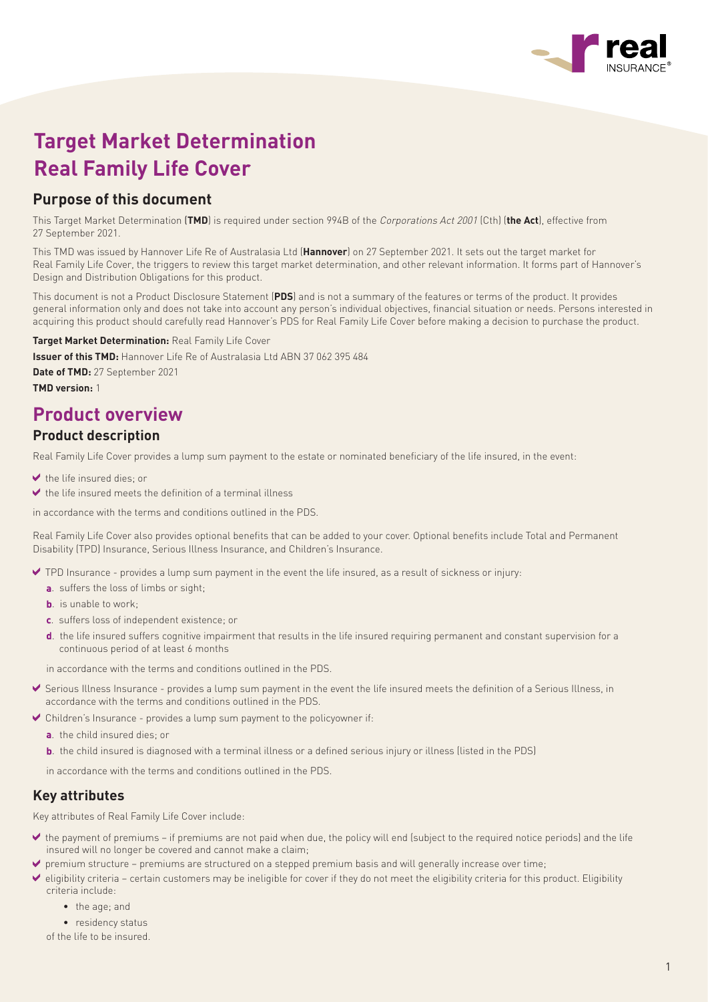

# **Target Market Determination Real Family Life Cover**

## **Purpose of this document**

This Target Market Determination (**TMD**) is required under section 994B of the Corporations Act 2001 (Cth) (**the Act**), effective from 27 September 2021.

This TMD was issued by Hannover Life Re of Australasia Ltd (**Hannover**) on 27 September 2021. It sets out the target market for Real Family Life Cover, the triggers to review this target market determination, and other relevant information. It forms part of Hannover's Design and Distribution Obligations for this product.

This document is not a Product Disclosure Statement (**PDS**) and is not a summary of the features or terms of the product. It provides general information only and does not take into account any person's individual objectives, financial situation or needs. Persons interested in acquiring this product should carefully read Hannover's PDS for Real Family Life Cover before making a decision to purchase the product.

**Target Market Determination:** Real Family Life Cover

**Issuer of this TMD:** Hannover Life Re of Australasia Ltd ABN 37 062 395 484 **Date of TMD:** 27 September 2021 **TMD version:** 1

## **Product overview**

### **Product description**

Real Family Life Cover provides a lump sum payment to the estate or nominated beneficiary of the life insured, in the event:

- $\blacktriangleright$  the life insured dies; or
- $\blacktriangleright$  the life insured meets the definition of a terminal illness

in accordance with the terms and conditions outlined in the PDS.

Real Family Life Cover also provides optional benefits that can be added to your cover. Optional benefits include Total and Permanent Disability (TPD) Insurance, Serious Illness Insurance, and Children's Insurance.

- TPD Insurance provides a lump sum payment in the event the life insured, as a result of sickness or injury:
	- **a**. suffers the loss of limbs or sight;
	- **b.** is unable to work;
	- **c**. suffers loss of independent existence; or
	- **d**. the life insured suffers cognitive impairment that results in the life insured requiring permanent and constant supervision for a continuous period of at least 6 months

in accordance with the terms and conditions outlined in the PDS.

- Serious Illness Insurance provides a lump sum payment in the event the life insured meets the definition of a Serious Illness, in accordance with the terms and conditions outlined in the PDS.
- $\blacktriangleright$  Children's Insurance provides a lump sum payment to the policyowner if:
	- **a**. the child insured dies; or
	- **b**. the child insured is diagnosed with a terminal illness or a defined serious injury or illness (listed in the PDS)

in accordance with the terms and conditions outlined in the PDS.

## **Key attributes**

Key attributes of Real Family Life Cover include:

- the payment of premiums if premiums are not paid when due, the policy will end (subject to the required notice periods) and the life insured will no longer be covered and cannot make a claim;
- $\blacktriangleright$  premium structure premiums are structured on a stepped premium basis and will generally increase over time;
- $\blacktriangleright$  eligibility criteria certain customers may be ineligible for cover if they do not meet the eligibility criteria for this product. Eligibility criteria include:
	- the age; and
	- residency status

of the life to be insured.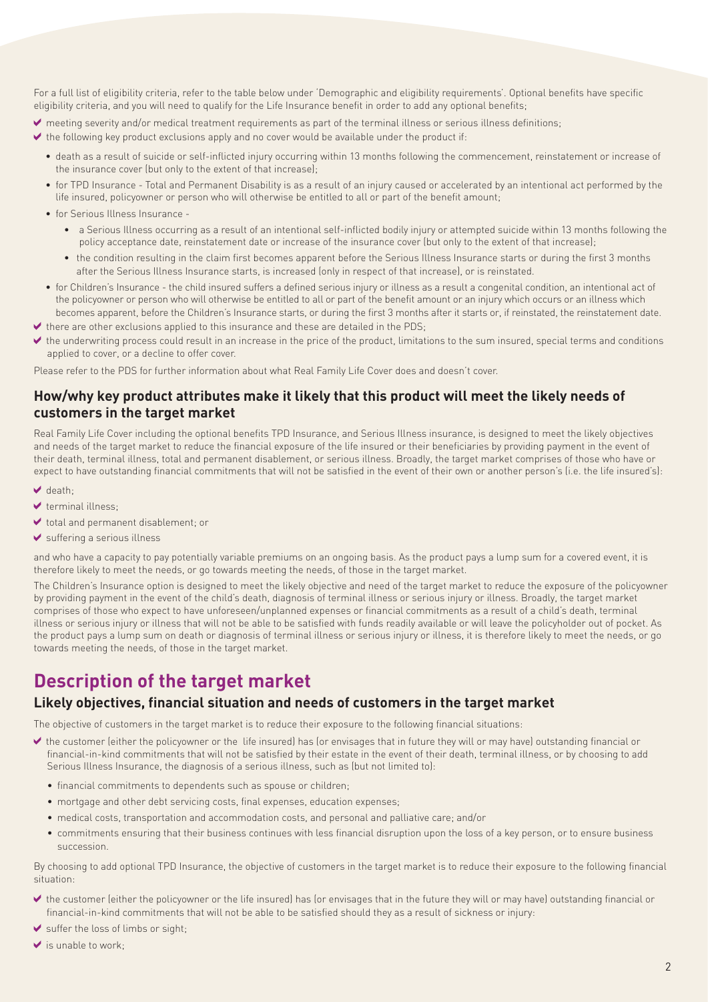For a full list of eligibility criteria, refer to the table below under 'Demographic and eligibility requirements'. Optional benefits have specific eligibility criteria, and you will need to qualify for the Life Insurance benefit in order to add any optional benefits;

- meeting severity and/or medical treatment requirements as part of the terminal illness or serious illness definitions;
- $\blacktriangleright$  the following key product exclusions apply and no cover would be available under the product if:
	- death as a result of suicide or self-inflicted injury occurring within 13 months following the commencement, reinstatement or increase of the insurance cover (but only to the extent of that increase);
	- for TPD Insurance Total and Permanent Disability is as a result of an injury caused or accelerated by an intentional act performed by the life insured, policyowner or person who will otherwise be entitled to all or part of the benefit amount;
	- for Serious Illness Insurance
		- a Serious Illness occurring as a result of an intentional self-inflicted bodily injury or attempted suicide within 13 months following the policy acceptance date, reinstatement date or increase of the insurance cover (but only to the extent of that increase);
		- the condition resulting in the claim first becomes apparent before the Serious Illness Insurance starts or during the first 3 months after the Serious Illness Insurance starts, is increased (only in respect of that increase), or is reinstated.
	- for Children's Insurance the child insured suffers a defined serious injury or illness as a result a congenital condition, an intentional act of the policyowner or person who will otherwise be entitled to all or part of the benefit amount or an injury which occurs or an illness which becomes apparent, before the Children's Insurance starts, or during the first 3 months after it starts or, if reinstated, the reinstatement date.
- $\blacktriangleright$  there are other exclusions applied to this insurance and these are detailed in the PDS;
- the underwriting process could result in an increase in the price of the product, limitations to the sum insured, special terms and conditions applied to cover, or a decline to offer cover.

Please refer to the PDS for further information about what Real Family Life Cover does and doesn't cover.

#### **How/why key product attributes make it likely that this product will meet the likely needs of customers in the target market**

Real Family Life Cover including the optional benefits TPD Insurance, and Serious Illness insurance, is designed to meet the likely objectives and needs of the target market to reduce the financial exposure of the life insured or their beneficiaries by providing payment in the event of their death, terminal illness, total and permanent disablement, or serious illness. Broadly, the target market comprises of those who have or expect to have outstanding financial commitments that will not be satisfied in the event of their own or another person's (i.e. the life insured's):

- $\vee$  death:
- $\blacktriangledown$  terminal illness:
- $\blacktriangleright$  total and permanent disablement; or
- suffering a serious illness

and who have a capacity to pay potentially variable premiums on an ongoing basis. As the product pays a lump sum for a covered event, it is therefore likely to meet the needs, or go towards meeting the needs, of those in the target market.

The Children's Insurance option is designed to meet the likely objective and need of the target market to reduce the exposure of the policyowner by providing payment in the event of the child's death, diagnosis of terminal illness or serious injury or illness. Broadly, the target market comprises of those who expect to have unforeseen/unplanned expenses or financial commitments as a result of a child's death, terminal illness or serious injury or illness that will not be able to be satisfied with funds readily available or will leave the policyholder out of pocket. As the product pays a lump sum on death or diagnosis of terminal illness or serious injury or illness, it is therefore likely to meet the needs, or go towards meeting the needs, of those in the target market.

## **Description of the target market**

### **Likely objectives, financial situation and needs of customers in the target market**

The objective of customers in the target market is to reduce their exposure to the following financial situations:

- the customer (either the policyowner or the life insured) has (or envisages that in future they will or may have) outstanding financial or financial-in-kind commitments that will not be satisfied by their estate in the event of their death, terminal illness, or by choosing to add Serious Illness Insurance, the diagnosis of a serious illness, such as (but not limited to):
	- financial commitments to dependents such as spouse or children;
	- mortgage and other debt servicing costs, final expenses, education expenses;
	- medical costs, transportation and accommodation costs, and personal and palliative care; and/or
	- commitments ensuring that their business continues with less financial disruption upon the loss of a key person, or to ensure business succession.

By choosing to add optional TPD Insurance, the objective of customers in the target market is to reduce their exposure to the following financial situation:

- the customer (either the policyowner or the life insured) has (or envisages that in the future they will or may have) outstanding financial or financial-in-kind commitments that will not be able to be satisfied should they as a result of sickness or injury:
- suffer the loss of limbs or sight;
- $\blacktriangleright$  is unable to work;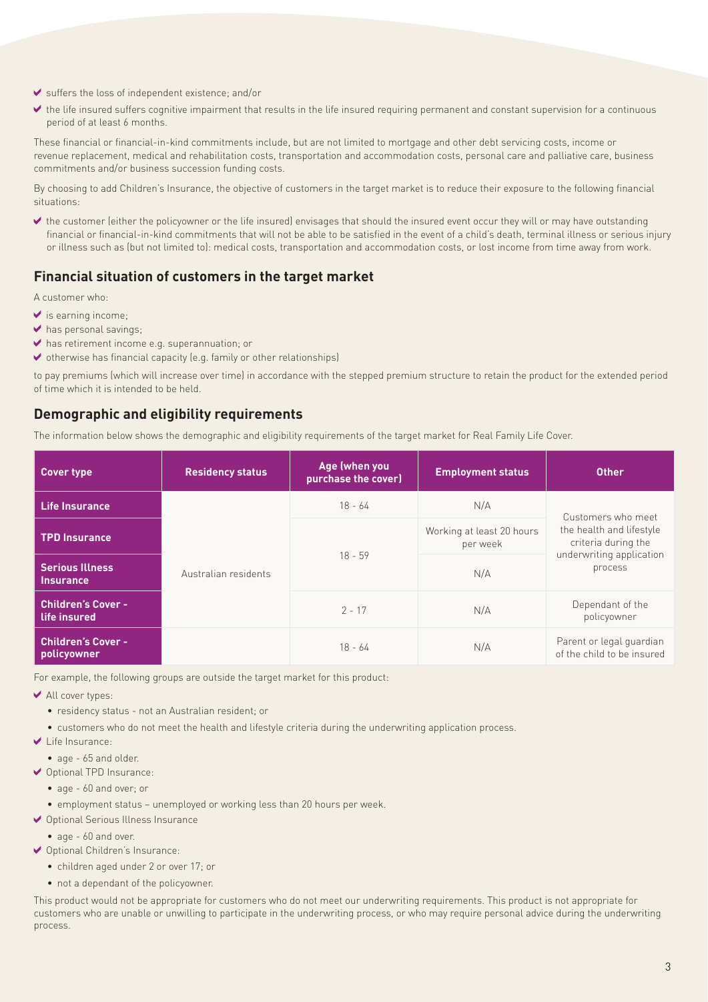- $\blacktriangleright$  suffers the loss of independent existence; and/or
- the life insured suffers cognitive impairment that results in the life insured requiring permanent and constant supervision for a continuous period of at least 6 months.

These financial or financial-in-kind commitments include, but are not limited to mortgage and other debt servicing costs, income or revenue replacement, medical and rehabilitation costs, transportation and accommodation costs, personal care and palliative care, business commitments and/or business succession funding costs.

By choosing to add Children's Insurance, the objective of customers in the target market is to reduce their exposure to the following financial situations:

 the customer (either the policyowner or the life insured) envisages that should the insured event occur they will or may have outstanding financial or financial-in-kind commitments that will not be able to be satisfied in the event of a child's death, terminal illness or serious injury or illness such as (but not limited to): medical costs, transportation and accommodation costs, or lost income from time away from work.

### **Financial situation of customers in the target market**

A customer who:

- $\blacktriangleright$  is earning income;
- $\blacktriangleright$  has personal savings;
- has retirement income e.g. superannuation; or
- $\blacktriangleright$  otherwise has financial capacity (e.g. family or other relationships)

to pay premiums (which will increase over time) in accordance with the stepped premium structure to retain the product for the extended period of time which it is intended to be held.

#### **Demographic and eligibility requirements**

The information below shows the demographic and eligibility requirements of the target market for Real Family Life Cover.

| <b>Cover type</b>                          | <b>Residency status</b> | Age (when you<br>purchase the cover) | <b>Employment status</b>              | <b>Other</b>                                                                                                 |
|--------------------------------------------|-------------------------|--------------------------------------|---------------------------------------|--------------------------------------------------------------------------------------------------------------|
| <b>Life Insurance</b>                      | Australian residents    | $18 - 64$                            | N/A                                   | Customers who meet<br>the health and lifestyle<br>criteria during the<br>underwriting application<br>process |
| <b>TPD Insurance</b>                       |                         | $18 - 59$                            | Working at least 20 hours<br>per week |                                                                                                              |
| <b>Serious Illness</b><br><b>Insurance</b> |                         |                                      | N/A                                   |                                                                                                              |
| <b>Children's Cover -</b><br>life insured  |                         | $2 - 17$                             | N/A                                   | Dependant of the<br>policyowner                                                                              |
| <b>Children's Cover -</b><br>policyowner   |                         | $18 - 64$                            | N/A                                   | Parent or legal guardian<br>of the child to be insured                                                       |

For example, the following groups are outside the target market for this product:

- ◆ All cover types:
	- residency status not an Australian resident; or
	- customers who do not meet the health and lifestyle criteria during the underwriting application process.
- Life Insurance:
	- age 65 and older.
- Optional TPD Insurance:
	- age 60 and over; or
	- employment status unemployed or working less than 20 hours per week.
- ◆ Optional Serious Illness Insurance
	- age 60 and over.
- Optional Children's Insurance:
	- children aged under 2 or over 17; or
	- not a dependant of the policyowner.

This product would not be appropriate for customers who do not meet our underwriting requirements. This product is not appropriate for customers who are unable or unwilling to participate in the underwriting process, or who may require personal advice during the underwriting process.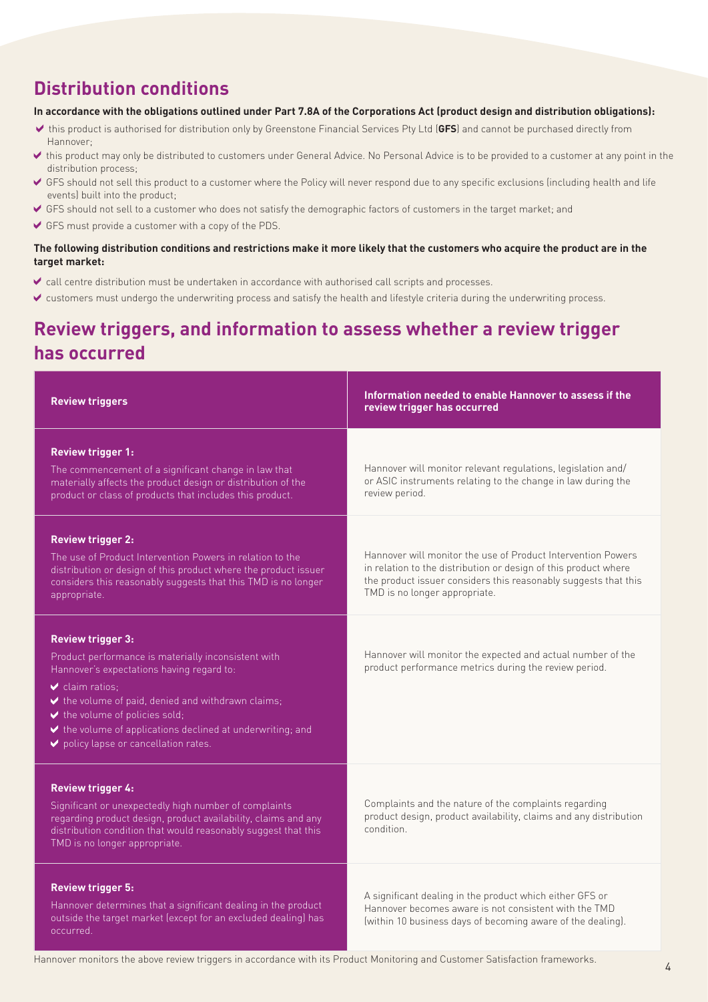## **Distribution conditions**

#### **In accordance with the obligations outlined under Part 7.8A of the Corporations Act (product design and distribution obligations):**

- this product is authorised for distribution only by Greenstone Financial Services Pty Ltd (**GFS**) and cannot be purchased directly from Hannover;
- this product may only be distributed to customers under General Advice. No Personal Advice is to be provided to a customer at any point in the distribution process;
- GFS should not sell this product to a customer where the Policy will never respond due to any specific exclusions (including health and life events) built into the product;
- GFS should not sell to a customer who does not satisfy the demographic factors of customers in the target market; and
- GFS must provide a customer with a copy of the PDS.

#### **The following distribution conditions and restrictions make it more likely that the customers who acquire the product are in the target market:**

- call centre distribution must be undertaken in accordance with authorised call scripts and processes.
- customers must undergo the underwriting process and satisfy the health and lifestyle criteria during the underwriting process.

## **Review triggers, and information to assess whether a review trigger has occurred**

| <b>Review triggers</b>                                                                                                                                                                                                                                                                                                                                                                    | Information needed to enable Hannover to assess if the<br>review trigger has occurred                                                                                                                                               |
|-------------------------------------------------------------------------------------------------------------------------------------------------------------------------------------------------------------------------------------------------------------------------------------------------------------------------------------------------------------------------------------------|-------------------------------------------------------------------------------------------------------------------------------------------------------------------------------------------------------------------------------------|
| <b>Review trigger 1:</b><br>The commencement of a significant change in law that<br>materially affects the product design or distribution of the<br>product or class of products that includes this product.                                                                                                                                                                              | Hannover will monitor relevant regulations, legislation and/<br>or ASIC instruments relating to the change in law during the<br>review period.                                                                                      |
| <b>Review trigger 2:</b><br>The use of Product Intervention Powers in relation to the<br>distribution or design of this product where the product issuer<br>considers this reasonably suggests that this TMD is no longer<br>appropriate.                                                                                                                                                 | Hannover will monitor the use of Product Intervention Powers<br>in relation to the distribution or design of this product where<br>the product issuer considers this reasonably suggests that this<br>TMD is no longer appropriate. |
| <b>Review trigger 3:</b><br>Product performance is materially inconsistent with<br>Hannover's expectations having regard to:<br>$\vee$ claim ratios:<br>$\blacktriangleright$ the volume of paid, denied and withdrawn claims;<br>$\blacktriangleright$ the volume of policies sold;<br>↓ the volume of applications declined at underwriting; and<br>policy lapse or cancellation rates. | Hannover will monitor the expected and actual number of the<br>product performance metrics during the review period.                                                                                                                |
| <b>Review trigger 4:</b><br>Significant or unexpectedly high number of complaints<br>regarding product design, product availability, claims and any<br>distribution condition that would reasonably suggest that this<br>TMD is no longer appropriate.                                                                                                                                    | Complaints and the nature of the complaints regarding<br>product design, product availability, claims and any distribution<br>condition.                                                                                            |
| <b>Review trigger 5:</b><br>Hannover determines that a significant dealing in the product<br>outside the target market (except for an excluded dealing) has<br>occurred.                                                                                                                                                                                                                  | A significant dealing in the product which either GFS or<br>Hannover becomes aware is not consistent with the TMD<br>(within 10 business days of becoming aware of the dealing).                                                    |